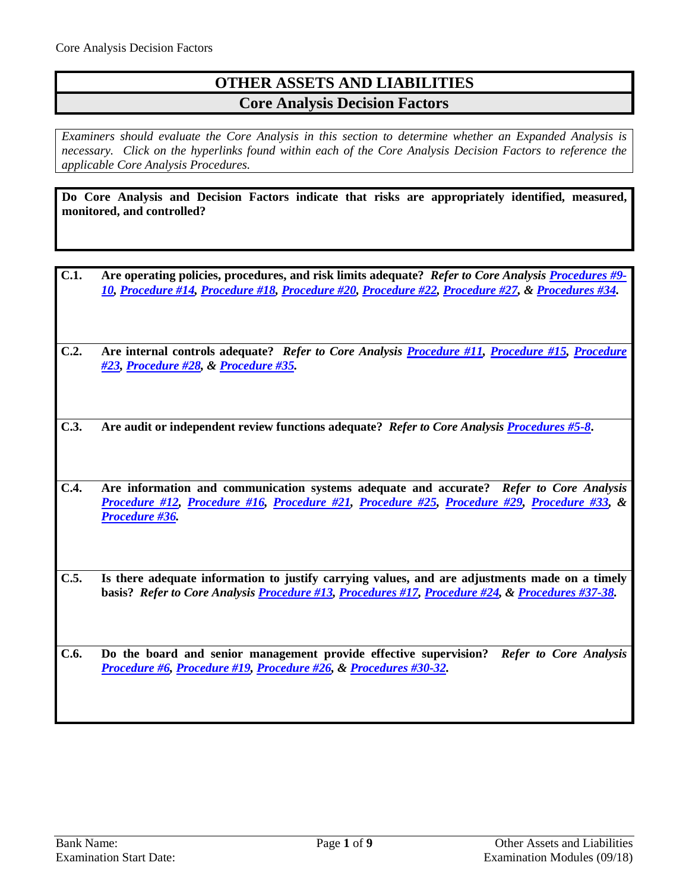# **OTHER ASSETS AND LIABILITIES Core Analysis Decision Factors**

*Examiners should evaluate the Core Analysis in this section to determine whether an Expanded Analysis is necessary. Click on the hyperlinks found within each of the Core Analysis Decision Factors to reference the applicable Core Analysis Procedures.*

**Do Core Analysis and Decision Factors indicate that risks are appropriately identified, measured, monitored, and controlled?**

- **C.1. Are operating policies, procedures, and risk limits adequate?** *Refer to Core Analysis [Procedures #9-](#page-2-0) [10,](#page-2-0) [Procedure #14,](#page-3-0) [Procedure #18,](#page-4-0) [Procedure #20,](#page-4-1) [Procedure #22,](#page-5-0) [Procedure #27,](#page-5-1) & [Procedures #34.](#page-7-0)*
- **C.2. Are internal controls adequate?** *Refer to Core Analysis [Procedure #11,](#page-2-1) [Procedure #15,](#page-3-1) [Procedure](#page-5-2)  [#23,](#page-5-2) [Procedure #28,](#page-6-0) & [Procedure #35.](#page-7-1)*
- **C.3. Are audit or independent review functions adequate?** *Refer to Core Analysi[s Procedures #5-8](#page-1-0)***.**
- **C.4. Are information and communication systems adequate and accurate?** *Refer to Core Analysis [Procedure #12,](#page-2-2) [Procedure #16,](#page-3-2) [Procedure #21,](#page-4-2) [Procedure #25,](#page-5-3) [Procedure #29,](#page-6-1) [Procedure #33,](#page-7-2) & [Procedure #36.](#page-7-3)*
- **C.5. Is there adequate information to justify carrying values, and are adjustments made on a timely basis?** *Refer to Core Analysis [Procedure #13,](#page-2-3) [Procedures #17,](#page-4-3) [Procedure #24,](#page-5-4) & [Procedures #37-38.](#page-7-4)*
- **C.6. Do the board and senior management provide effective supervision?** *Refer to Core Analysis [Procedure #6,](#page-1-1) [Procedure #19,](#page-4-4) [Procedure #26,](#page-5-5) & [Procedures #30-32.](#page-6-2)*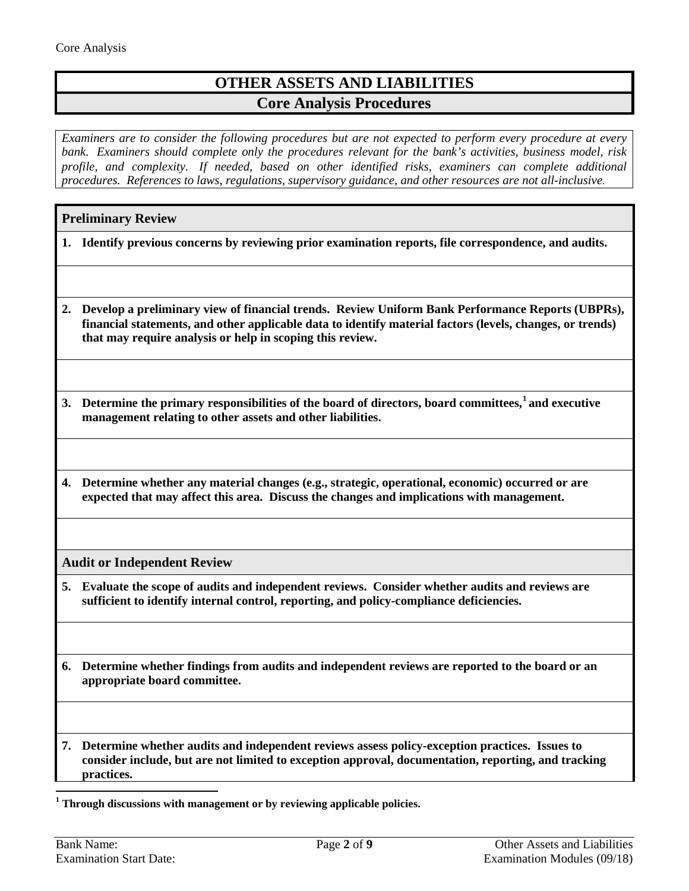# **OTHER ASSETS AND LIABILITIES Core Analysis Procedures**

*Examiners are to consider the following procedures but are not expected to perform every procedure at every bank. Examiners should complete only the procedures relevant for the bank's activities, business model, risk profile, and complexity. If needed, based on other identified risks, examiners can complete additional procedures. References to laws, regulations, supervisory guidance, and other resources are not all-inclusive.*

## **Preliminary Review**

- **1. Identify previous concerns by reviewing prior examination reports, file correspondence, and audits.**
- **2. Develop a preliminary view of financial trends. Review Uniform Bank Performance Reports (UBPRs), financial statements, and other applicable data to identify material factors (levels, changes, or trends) that may require analysis or help in scoping this review.**

**3. Determine the primary responsibilities of the board of directors, board committees,[1](#page-1-2) and executive management relating to other assets and other liabilities.** 

**4. Determine whether any material changes (e.g., strategic, operational, economic) occurred or are expected that may affect this area. Discuss the changes and implications with management.**

**Audit or Independent Review**

- <span id="page-1-0"></span>**5. Evaluate the scope of audits and independent reviews. Consider whether audits and reviews are sufficient to identify internal control, reporting, and policy-compliance deficiencies.**
- <span id="page-1-1"></span>**6. Determine whether findings from audits and independent reviews are reported to the board or an appropriate board committee.**

**7. Determine whether audits and independent reviews assess policy-exception practices. Issues to consider include, but are not limited to exception approval, documentation, reporting, and tracking practices.**

<span id="page-1-2"></span>**<sup>1</sup> Through discussions with management or by reviewing applicable policies.**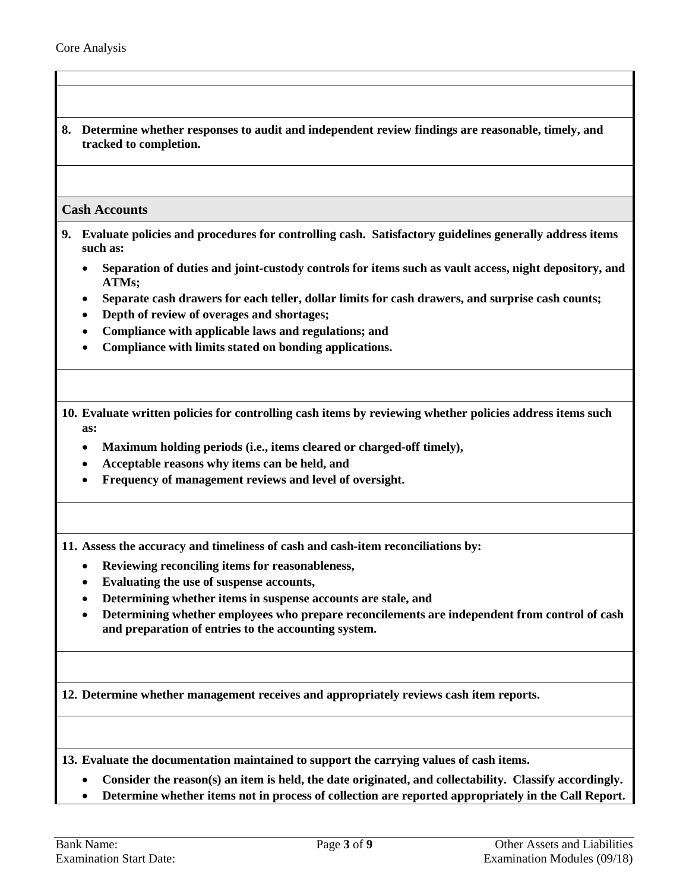**8. Determine whether responses to audit and independent review findings are reasonable, timely, and tracked to completion.** 

#### <span id="page-2-0"></span>**Cash Accounts**

- **9. Evaluate policies and procedures for controlling cash. Satisfactory guidelines generally address items such as:**
	- **Separation of duties and joint-custody controls for items such as vault access, night depository, and ATMs;**
	- **Separate cash drawers for each teller, dollar limits for cash drawers, and surprise cash counts;**
	- **Depth of review of overages and shortages;**
	- **Compliance with applicable laws and regulations; and**
	- **Compliance with limits stated on bonding applications.**

**10. Evaluate written policies for controlling cash items by reviewing whether policies address items such as:**

- **Maximum holding periods (i.e., items cleared or charged-off timely),**
- **Acceptable reasons why items can be held, and**
- **Frequency of management reviews and level of oversight.**

<span id="page-2-1"></span>**11. Assess the accuracy and timeliness of cash and cash-item reconciliations by:**

- **Reviewing reconciling items for reasonableness,**
- **Evaluating the use of suspense accounts,**
- **Determining whether items in suspense accounts are stale, and**
- **Determining whether employees who prepare reconcilements are independent from control of cash and preparation of entries to the accounting system.**

<span id="page-2-2"></span>**12. Determine whether management receives and appropriately reviews cash item reports.**

<span id="page-2-3"></span>**13. Evaluate the documentation maintained to support the carrying values of cash items.**

- **Consider the reason(s) an item is held, the date originated, and collectability. Classify accordingly.**
- **Determine whether items not in process of collection are reported appropriately in the Call Report.**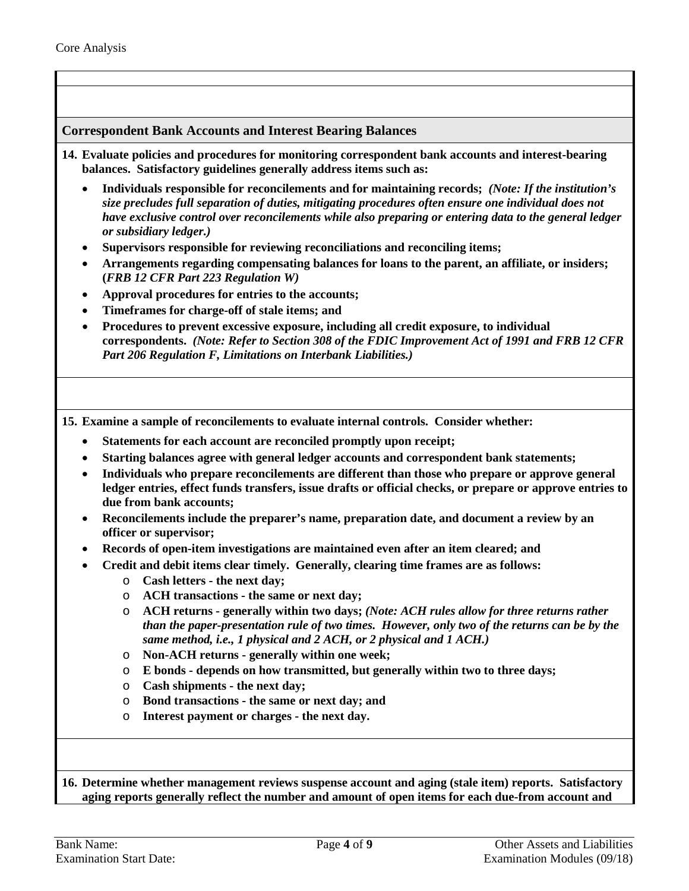### <span id="page-3-0"></span>**Correspondent Bank Accounts and Interest Bearing Balances**

- **14. Evaluate policies and procedures for monitoring correspondent bank accounts and interest-bearing balances. Satisfactory guidelines generally address items such as:**
	- **Individuals responsible for reconcilements and for maintaining records;** *(Note: If the institution's size precludes full separation of duties, mitigating procedures often ensure one individual does not have exclusive control over reconcilements while also preparing or entering data to the general ledger or subsidiary ledger.)*
	- **Supervisors responsible for reviewing reconciliations and reconciling items;**
	- **Arrangements regarding compensating balances for loans to the parent, an affiliate, or insiders; (***FRB 12 CFR Part 223 Regulation W)*
	- **Approval procedures for entries to the accounts;**
	- **Timeframes for charge-off of stale items; and**
	- **Procedures to prevent excessive exposure, including all credit exposure, to individual correspondents.** *(Note: Refer to Section 308 of the FDIC Improvement Act of 1991 and FRB 12 CFR Part 206 Regulation F, Limitations on Interbank Liabilities.)*

<span id="page-3-1"></span>**15. Examine a sample of reconcilements to evaluate internal controls. Consider whether:**

- **Statements for each account are reconciled promptly upon receipt;**
- **Starting balances agree with general ledger accounts and correspondent bank statements;**
- **Individuals who prepare reconcilements are different than those who prepare or approve general ledger entries, effect funds transfers, issue drafts or official checks, or prepare or approve entries to due from bank accounts;**
- **Reconcilements include the preparer's name, preparation date, and document a review by an officer or supervisor;**
- **Records of open-item investigations are maintained even after an item cleared; and**
- **Credit and debit items clear timely. Generally, clearing time frames are as follows:**
	- o **Cash letters - the next day;**
	- o **ACH transactions - the same or next day;**
	- o **ACH returns - generally within two days;** *(Note: ACH rules allow for three returns rather than the paper-presentation rule of two times. However, only two of the returns can be by the same method, i.e., 1 physical and 2 ACH, or 2 physical and 1 ACH.)*
	- o **Non-ACH returns - generally within one week;**
	- o **E bonds - depends on how transmitted, but generally within two to three days;**
	- o **Cash shipments - the next day;**
	- o **Bond transactions - the same or next day; and**
	- o **Interest payment or charges - the next day.**

<span id="page-3-2"></span>**16. Determine whether management reviews suspense account and aging (stale item) reports. Satisfactory aging reports generally reflect the number and amount of open items for each due-from account and**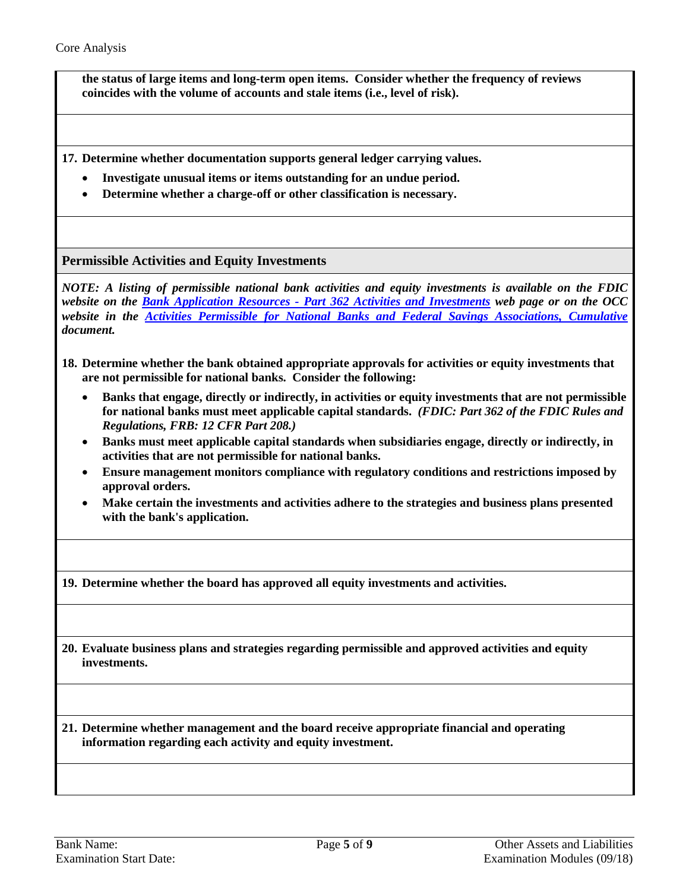**the status of large items and long-term open items. Consider whether the frequency of reviews coincides with the volume of accounts and stale items (i.e., level of risk).**

<span id="page-4-3"></span>**17. Determine whether documentation supports general ledger carrying values.**

- **Investigate unusual items or items outstanding for an undue period.**
- **Determine whether a charge-off or other classification is necessary.**

<span id="page-4-0"></span>**Permissible Activities and Equity Investments**

*NOTE: A listing of permissible national bank activities and equity investments is available on the FDIC website on the Bank Application Resources - [Part 362 Activities and Investments](https://www.fdic.gov/regulations/applications/resources/part362.html) web page or on the OCC website in the [Activities Permissible for National Banks and Federal Savings Associations, Cumulative](https://www.occ.treas.gov/publications-and-resources/publications/banker-education/files/pub-activities-permissible-for-nat-banks-fed-saving.pdf) document.*

- **18. Determine whether the bank obtained appropriate approvals for activities or equity investments that are not permissible for national banks. Consider the following:**
	- **Banks that engage, directly or indirectly, in activities or equity investments that are not permissible for national banks must meet applicable capital standards.** *(FDIC: Part 362 of the FDIC Rules and Regulations, FRB: 12 CFR Part 208.)*
	- **Banks must meet applicable capital standards when subsidiaries engage, directly or indirectly, in activities that are not permissible for national banks.**
	- **Ensure management monitors compliance with regulatory conditions and restrictions imposed by approval orders.**
	- **Make certain the investments and activities adhere to the strategies and business plans presented with the bank's application.**

<span id="page-4-4"></span>**19. Determine whether the board has approved all equity investments and activities.**

<span id="page-4-1"></span>**20. Evaluate business plans and strategies regarding permissible and approved activities and equity investments.**

<span id="page-4-2"></span>**21. Determine whether management and the board receive appropriate financial and operating information regarding each activity and equity investment.**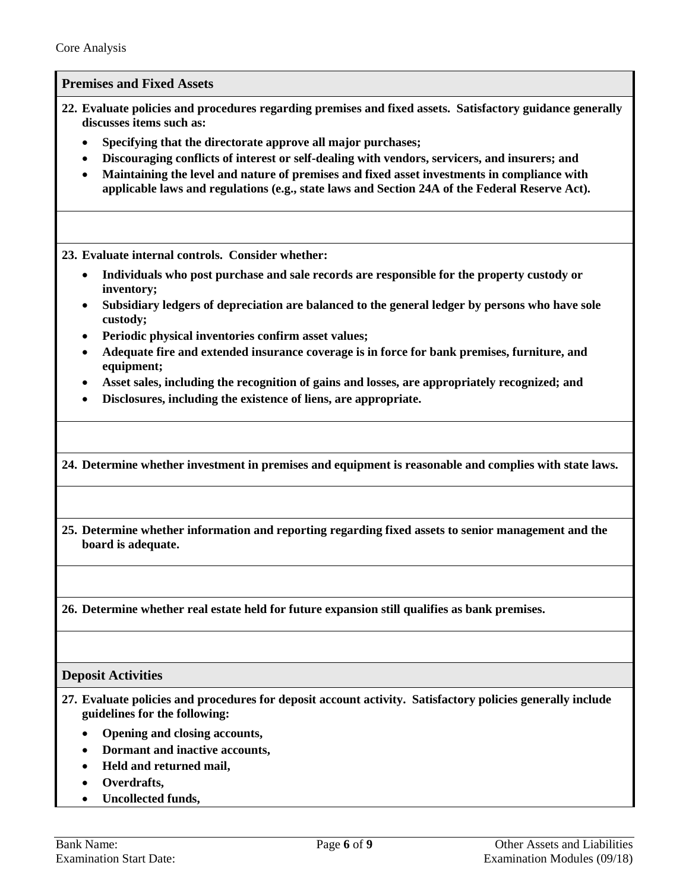**Premises and Fixed Assets**

- <span id="page-5-0"></span>**22. Evaluate policies and procedures regarding premises and fixed assets. Satisfactory guidance generally discusses items such as:**
	- **Specifying that the directorate approve all major purchases;**
	- **Discouraging conflicts of interest or self-dealing with vendors, servicers, and insurers; and**
	- **Maintaining the level and nature of premises and fixed asset investments in compliance with applicable laws and regulations (e.g., state laws and Section 24A of the Federal Reserve Act).**

<span id="page-5-2"></span>**23. Evaluate internal controls. Consider whether:**

- **Individuals who post purchase and sale records are responsible for the property custody or inventory;**
- **Subsidiary ledgers of depreciation are balanced to the general ledger by persons who have sole custody;**
- **Periodic physical inventories confirm asset values;**
- **Adequate fire and extended insurance coverage is in force for bank premises, furniture, and equipment;**
- **Asset sales, including the recognition of gains and losses, are appropriately recognized; and**
- **Disclosures, including the existence of liens, are appropriate.**

<span id="page-5-4"></span>**24. Determine whether investment in premises and equipment is reasonable and complies with state laws.**

<span id="page-5-3"></span>**25. Determine whether information and reporting regarding fixed assets to senior management and the board is adequate.**

<span id="page-5-5"></span>**26. Determine whether real estate held for future expansion still qualifies as bank premises.**

#### <span id="page-5-1"></span>**Deposit Activities**

**27. Evaluate policies and procedures for deposit account activity. Satisfactory policies generally include guidelines for the following:**

- **Opening and closing accounts,**
- **Dormant and inactive accounts,**
- **Held and returned mail,**
- **Overdrafts,**
- **Uncollected funds,**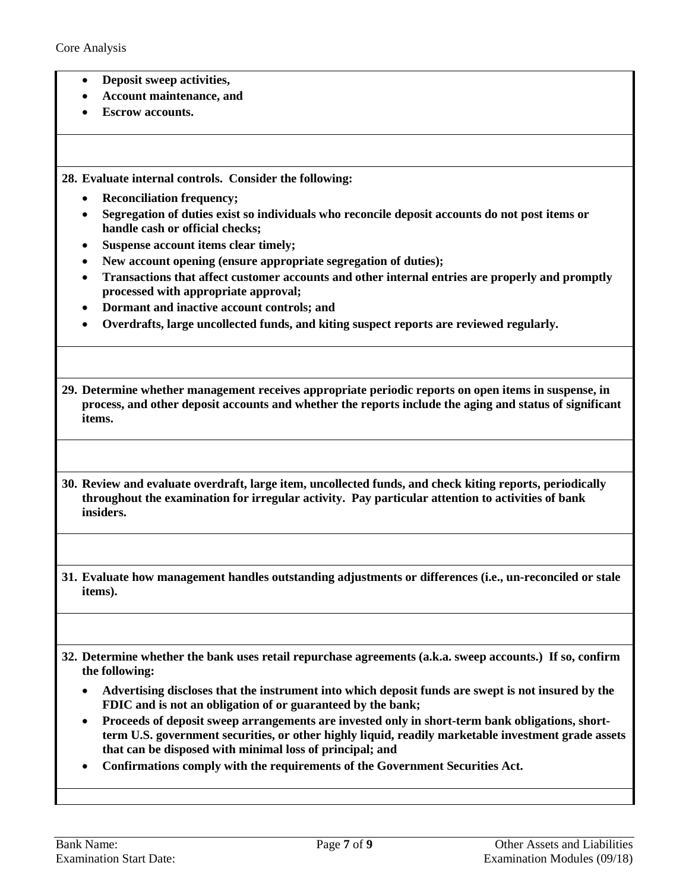- **Deposit sweep activities,**
- **Account maintenance, and**
- **Escrow accounts.**

<span id="page-6-0"></span>**28. Evaluate internal controls. Consider the following:**

- **Reconciliation frequency;**
- **Segregation of duties exist so individuals who reconcile deposit accounts do not post items or handle cash or official checks;**
- **Suspense account items clear timely;**
- **New account opening (ensure appropriate segregation of duties);**
- **Transactions that affect customer accounts and other internal entries are properly and promptly processed with appropriate approval;**
- **Dormant and inactive account controls; and**
- **Overdrafts, large uncollected funds, and kiting suspect reports are reviewed regularly.**

<span id="page-6-1"></span>**29. Determine whether management receives appropriate periodic reports on open items in suspense, in process, and other deposit accounts and whether the reports include the aging and status of significant items.**

<span id="page-6-2"></span>**30. Review and evaluate overdraft, large item, uncollected funds, and check kiting reports, periodically throughout the examination for irregular activity. Pay particular attention to activities of bank insiders.**

**31. Evaluate how management handles outstanding adjustments or differences (i.e., un-reconciled or stale items).**

**32. Determine whether the bank uses retail repurchase agreements (a.k.a. sweep accounts.) If so, confirm the following:**

- **Advertising discloses that the instrument into which deposit funds are swept is not insured by the FDIC and is not an obligation of or guaranteed by the bank;**
- **Proceeds of deposit sweep arrangements are invested only in short-term bank obligations, shortterm U.S. government securities, or other highly liquid, readily marketable investment grade assets that can be disposed with minimal loss of principal; and**
- **Confirmations comply with the requirements of the Government Securities Act.**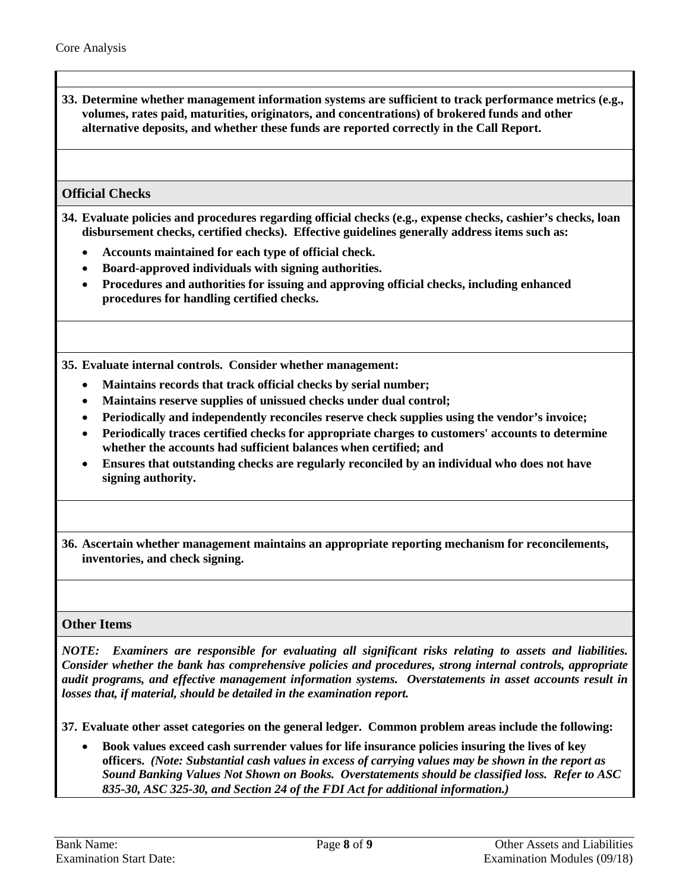<span id="page-7-2"></span>**33. Determine whether management information systems are sufficient to track performance metrics (e.g., volumes, rates paid, maturities, originators, and concentrations) of brokered funds and other alternative deposits, and whether these funds are reported correctly in the Call Report.**

### <span id="page-7-0"></span>**Official Checks**

- **34. Evaluate policies and procedures regarding official checks (e.g., expense checks, cashier's checks, loan disbursement checks, certified checks). Effective guidelines generally address items such as:**
	- **Accounts maintained for each type of official check.**
	- **Board-approved individuals with signing authorities.**
	- **Procedures and authorities for issuing and approving official checks, including enhanced procedures for handling certified checks.**

<span id="page-7-1"></span>**35. Evaluate internal controls. Consider whether management:**

- **Maintains records that track official checks by serial number;**
- **Maintains reserve supplies of unissued checks under dual control;**
- **Periodically and independently reconciles reserve check supplies using the vendor's invoice;**
- **Periodically traces certified checks for appropriate charges to customers' accounts to determine whether the accounts had sufficient balances when certified; and**
- **Ensures that outstanding checks are regularly reconciled by an individual who does not have signing authority.**

<span id="page-7-3"></span>**36. Ascertain whether management maintains an appropriate reporting mechanism for reconcilements, inventories, and check signing.**

#### <span id="page-7-4"></span>**Other Items**

*NOTE: Examiners are responsible for evaluating all significant risks relating to assets and liabilities. Consider whether the bank has comprehensive policies and procedures, strong internal controls, appropriate audit programs, and effective management information systems. Overstatements in asset accounts result in losses that, if material, should be detailed in the examination report.*

**37. Evaluate other asset categories on the general ledger. Common problem areas include the following:**

• **Book values exceed cash surrender values for life insurance policies insuring the lives of key officers.** *(Note: Substantial cash values in excess of carrying values may be shown in the report as Sound Banking Values Not Shown on Books. Overstatements should be classified loss. Refer to ASC 835-30, ASC 325-30, and Section 24 of the FDI Act for additional information.)*